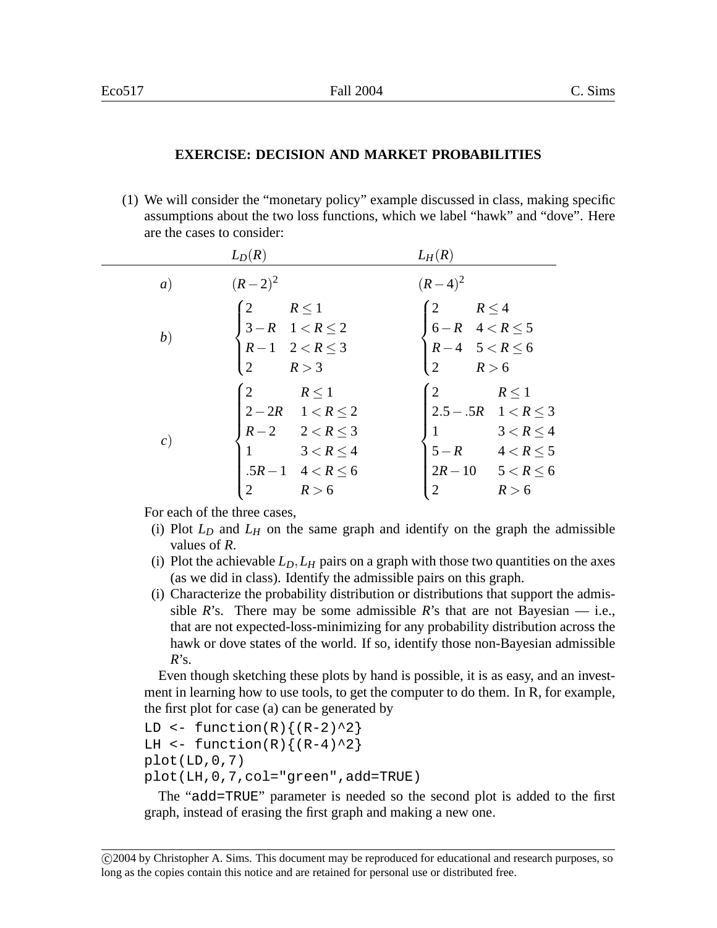## **EXERCISE: DECISION AND MARKET PROBABILITIES**

(1) We will consider the "monetary policy" example discussed in class, making specific assumptions about the two loss functions, which we label "hawk" and "dove". Here are the cases to consider:

|                   | $L_D(R)$                                                                                                                                                           | $L_H(R)$                                                                                                                                                          |
|-------------------|--------------------------------------------------------------------------------------------------------------------------------------------------------------------|-------------------------------------------------------------------------------------------------------------------------------------------------------------------|
| $\left( a\right)$ | $(R-2)^2$                                                                                                                                                          | $(R-4)^2$                                                                                                                                                         |
| (b)               | $\begin{cases} 2 & R \leq 1 \\ 3 - R & 1 < R \leq 2 \\ R - 1 & 2 < R \leq 3 \end{cases}$<br>R > 3                                                                  | $\begin{cases} 2 & R \leq 4 \\ 6-R & 4 < R \leq 5 \\ R-4 & 5 < R \leq 6 \\ 2 & R > 6 \end{cases}$                                                                 |
| c)                | $\begin{cases} 2 & R \leq 1 \\ 2-2R & 1 < R \leq 2 \end{cases}$<br>$R-2$ $2 < R \leq 3$<br>$3 < R \leq 4$<br>$.5R-1 \quad 4 < R \leq 6$<br>$\overline{2}$<br>R > 6 | $\begin{cases} 2 & R \leq 1 \\ 2.5 - .5R & 1 < R \leq 3 \end{cases}$<br>$3 < R \leq 4$<br>$5-R$ $4 < R \le 5$<br>$2R-10$ $5 < R \le 6$<br>$\overline{2}$<br>R > 6 |

For each of the three cases,

- (i) Plot  $L<sub>D</sub>$  and  $L<sub>H</sub>$  on the same graph and identify on the graph the admissible values of *R*.
- (i) Plot the achievable  $L_D$ ,  $L_H$  pairs on a graph with those two quantities on the axes (as we did in class). Identify the admissible pairs on this graph.
- (i) Characterize the probability distribution or distributions that support the admissible  $R$ 's. There may be some admissible  $R$ 's that are not Bayesian — i.e., that are not expected-loss-minimizing for any probability distribution across the hawk or dove states of the world. If so, identify those non-Bayesian admissible *R*'s.

Even though sketching these plots by hand is possible, it is as easy, and an investment in learning how to use tools, to get the computer to do them. In R, for example, the first plot for case (a) can be generated by

```
LD \leftarrow function(R) \{(R-2)^2\}LH \leftarrow function(R) \{(R-4)^2\}plot(LD, 0, 7)plot(LH,0,7,col="green",add=TRUE)
```
The "add=TRUE" parameter is needed so the second plot is added to the first graph, instead of erasing the first graph and making a new one.

c 2004 by Christopher A. Sims. This document may be reproduced for educational and research purposes, so long as the copies contain this notice and are retained for personal use or distributed free.